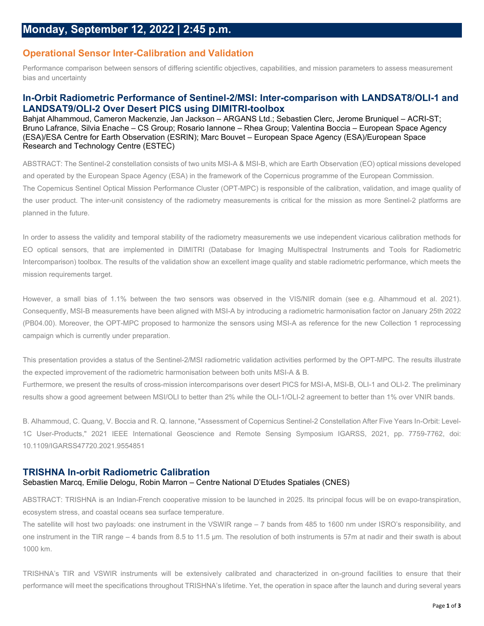# **Operational Sensor Inter-Calibration and Validation**

Performance comparison between sensors of differing scientific objectives, capabilities, and mission parameters to assess measurement bias and uncertainty

## **In-Orbit Radiometric Performance of Sentinel-2/MSI: Inter-comparison with LANDSAT8/OLI-1 and LANDSAT9/OLI-2 Over Desert PICS using DIMITRI-toolbox**

Bahjat Alhammoud, Cameron Mackenzie, Jan Jackson – ARGANS Ltd.; Sebastien Clerc, Jerome Bruniquel – ACRI-ST; Bruno Lafrance, Silvia Enache – CS Group; Rosario Iannone – Rhea Group; Valentina Boccia – European Space Agency (ESA)/ESA Centre for Earth Observation (ESRIN); Marc Bouvet – European Space Agency (ESA)/European Space Research and Technology Centre (ESTEC)

ABSTRACT: The Sentinel-2 constellation consists of two units MSI-A & MSI-B, which are Earth Observation (EO) optical missions developed and operated by the European Space Agency (ESA) in the framework of the Copernicus programme of the European Commission. The Copernicus Sentinel Optical Mission Performance Cluster (OPT-MPC) is responsible of the calibration, validation, and image quality of the user product. The inter-unit consistency of the radiometry measurements is critical for the mission as more Sentinel-2 platforms are planned in the future.

In order to assess the validity and temporal stability of the radiometry measurements we use independent vicarious calibration methods for EO optical sensors, that are implemented in DIMITRI (Database for Imaging Multispectral Instruments and Tools for Radiometric Intercomparison) toolbox. The results of the validation show an excellent image quality and stable radiometric performance, which meets the mission requirements target.

However, a small bias of 1.1% between the two sensors was observed in the VIS/NIR domain (see e.g. Alhammoud et al. 2021). Consequently, MSI-B measurements have been aligned with MSI-A by introducing a radiometric harmonisation factor on January 25th 2022 (PB04.00). Moreover, the OPT-MPC proposed to harmonize the sensors using MSI-A as reference for the new Collection 1 reprocessing campaign which is currently under preparation.

This presentation provides a status of the Sentinel-2/MSI radiometric validation activities performed by the OPT-MPC. The results illustrate the expected improvement of the radiometric harmonisation between both units MSI-A & B.

Furthermore, we present the results of cross-mission intercomparisons over desert PICS for MSI-A, MSI-B, OLI-1 and OLI-2. The preliminary results show a good agreement between MSI/OLI to better than 2% while the OLI-1/OLI-2 agreement to better than 1% over VNIR bands.

B. Alhammoud, C. Quang, V. Boccia and R. Q. Iannone, "Assessment of Copernicus Sentinel-2 Constellation After Five Years In-Orbit: Level-1C User-Products," 2021 IEEE International Geoscience and Remote Sensing Symposium IGARSS, 2021, pp. 7759-7762, doi: 10.1109/IGARSS47720.2021.9554851

# **TRISHNA In-orbit Radiometric Calibration**

### Sebastien Marcq, Emilie Delogu, Robin Marron – Centre National D'Etudes Spatiales (CNES)

ABSTRACT: TRISHNA is an Indian-French cooperative mission to be launched in 2025. Its principal focus will be on evapo-transpiration, ecosystem stress, and coastal oceans sea surface temperature.

The satellite will host two payloads: one instrument in the VSWIR range – 7 bands from 485 to 1600 nm under ISRO's responsibility, and one instrument in the TIR range – 4 bands from 8.5 to 11.5 µm. The resolution of both instruments is 57m at nadir and their swath is about 1000 km.

TRISHNA's TIR and VSWIR instruments will be extensively calibrated and characterized in on-ground facilities to ensure that their performance will meet the specifications throughout TRISHNA's lifetime. Yet, the operation in space after the launch and during several years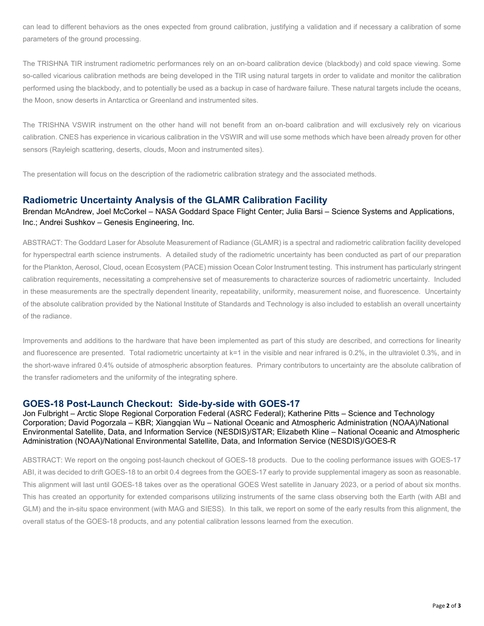can lead to different behaviors as the ones expected from ground calibration, justifying a validation and if necessary a calibration of some parameters of the ground processing.

The TRISHNA TIR instrument radiometric performances rely on an on-board calibration device (blackbody) and cold space viewing. Some so-called vicarious calibration methods are being developed in the TIR using natural targets in order to validate and monitor the calibration performed using the blackbody, and to potentially be used as a backup in case of hardware failure. These natural targets include the oceans, the Moon, snow deserts in Antarctica or Greenland and instrumented sites.

The TRISHNA VSWIR instrument on the other hand will not benefit from an on-board calibration and will exclusively rely on vicarious calibration. CNES has experience in vicarious calibration in the VSWIR and will use some methods which have been already proven for other sensors (Rayleigh scattering, deserts, clouds, Moon and instrumented sites).

The presentation will focus on the description of the radiometric calibration strategy and the associated methods.

#### **Radiometric Uncertainty Analysis of the GLAMR Calibration Facility**

#### Brendan McAndrew, Joel McCorkel – NASA Goddard Space Flight Center; Julia Barsi – Science Systems and Applications, Inc.; Andrei Sushkov – Genesis Engineering, Inc.

ABSTRACT: The Goddard Laser for Absolute Measurement of Radiance (GLAMR) is a spectral and radiometric calibration facility developed for hyperspectral earth science instruments. A detailed study of the radiometric uncertainty has been conducted as part of our preparation for the Plankton, Aerosol, Cloud, ocean Ecosystem (PACE) mission Ocean Color Instrument testing. This instrument has particularly stringent calibration requirements, necessitating a comprehensive set of measurements to characterize sources of radiometric uncertainty. Included in these measurements are the spectrally dependent linearity, repeatability, uniformity, measurement noise, and fluorescence. Uncertainty of the absolute calibration provided by the National Institute of Standards and Technology is also included to establish an overall uncertainty of the radiance.

Improvements and additions to the hardware that have been implemented as part of this study are described, and corrections for linearity and fluorescence are presented. Total radiometric uncertainty at k=1 in the visible and near infrared is 0.2%, in the ultraviolet 0.3%, and in the short-wave infrared 0.4% outside of atmospheric absorption features. Primary contributors to uncertainty are the absolute calibration of the transfer radiometers and the uniformity of the integrating sphere.

### **GOES-18 Post-Launch Checkout: Side-by-side with GOES-17**

Jon Fulbright – Arctic Slope Regional Corporation Federal (ASRC Federal); Katherine Pitts – Science and Technology Corporation; David Pogorzala – KBR; Xiangqian Wu – National Oceanic and Atmospheric Administration (NOAA)/National Environmental Satellite, Data, and Information Service (NESDIS)/STAR; Elizabeth Kline – National Oceanic and Atmospheric Administration (NOAA)/National Environmental Satellite, Data, and Information Service (NESDIS)/GOES-R

ABSTRACT: We report on the ongoing post-launch checkout of GOES-18 products. Due to the cooling performance issues with GOES-17 ABI, it was decided to drift GOES-18 to an orbit 0.4 degrees from the GOES-17 early to provide supplemental imagery as soon as reasonable. This alignment will last until GOES-18 takes over as the operational GOES West satellite in January 2023, or a period of about six months. This has created an opportunity for extended comparisons utilizing instruments of the same class observing both the Earth (with ABI and GLM) and the in-situ space environment (with MAG and SIESS). In this talk, we report on some of the early results from this alignment, the overall status of the GOES-18 products, and any potential calibration lessons learned from the execution.